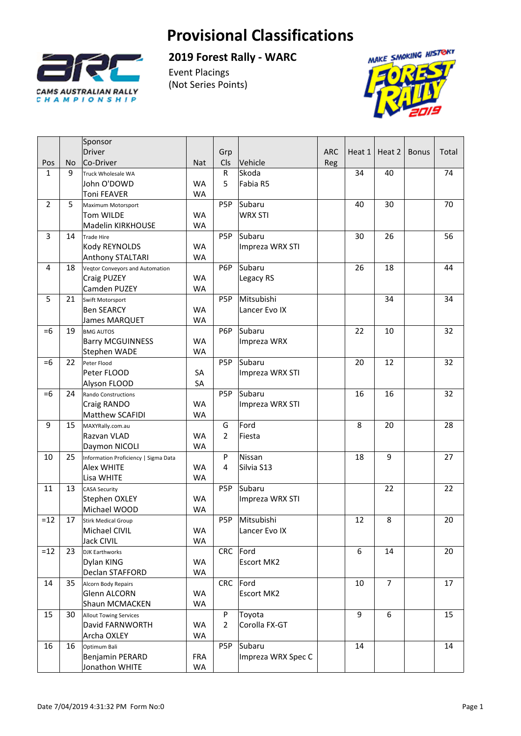

**2019 Forest Rally ‐ WARC** 

Event Placings (Not Series Points)



|                |    | Sponsor                              |            |                  |                    |            |        |                |              |       |
|----------------|----|--------------------------------------|------------|------------------|--------------------|------------|--------|----------------|--------------|-------|
|                |    | Driver                               |            | Grp              |                    | <b>ARC</b> | Heat 1 | Heat 2         | <b>Bonus</b> | Total |
| Pos            | No | Co-Driver                            | <b>Nat</b> | Cls              | Vehicle            | Reg        |        |                |              |       |
| $\mathbf{1}$   | 9  | Truck Wholesale WA                   |            | R                | Skoda              |            | 34     | 40             |              | 74    |
|                |    | John O'DOWD                          | <b>WA</b>  | 5                | Fabia R5           |            |        |                |              |       |
|                |    | <b>Toni FEAVER</b>                   | <b>WA</b>  |                  |                    |            |        |                |              |       |
| $\overline{2}$ | 5  | Maximum Motorsport                   |            | P5P              | Subaru             |            | 40     | 30             |              | 70    |
|                |    | Tom WILDE                            | <b>WA</b>  |                  | <b>WRX STI</b>     |            |        |                |              |       |
|                |    | Madelin KIRKHOUSE                    | <b>WA</b>  |                  |                    |            |        |                |              |       |
| 3              | 14 | <b>Trade Hire</b>                    |            | P5P              | Subaru             |            | 30     | 26             |              | 56    |
|                |    | Kody REYNOLDS                        | <b>WA</b>  |                  | Impreza WRX STI    |            |        |                |              |       |
|                |    | Anthony STALTARI                     | <b>WA</b>  |                  |                    |            |        |                |              |       |
| 4              | 18 | Veqtor Conveyors and Automation      |            | P6P              | Subaru             |            | 26     | 18             |              | 44    |
|                |    | Craig PUZEY                          | <b>WA</b>  |                  | Legacy RS          |            |        |                |              |       |
|                |    | Camden PUZEY                         | <b>WA</b>  |                  |                    |            |        |                |              |       |
| 5              | 21 | Swift Motorsport                     |            | P <sub>5</sub> P | Mitsubishi         |            |        | 34             |              | 34    |
|                |    | <b>Ben SEARCY</b>                    | <b>WA</b>  |                  | Lancer Evo IX      |            |        |                |              |       |
|                |    | James MARQUET                        | <b>WA</b>  |                  |                    |            |        |                |              |       |
| $=6$           | 19 | <b>BMG AUTOS</b>                     |            | P6P              | Subaru             |            | 22     | 10             |              | 32    |
|                |    | <b>Barry MCGUINNESS</b>              | <b>WA</b>  |                  | Impreza WRX        |            |        |                |              |       |
|                |    | Stephen WADE                         | <b>WA</b>  |                  |                    |            |        |                |              |       |
| $=6$           | 22 | Peter Flood                          |            | P5P              | Subaru             |            | 20     | 12             |              | 32    |
|                |    | Peter FLOOD                          | SA         |                  | Impreza WRX STI    |            |        |                |              |       |
|                |    | Alyson FLOOD                         | SA         |                  |                    |            |        |                |              |       |
| $=6$           | 24 | Rando Constructions                  |            | P5P              | Subaru             |            | 16     | 16             |              | 32    |
|                |    | Craig RANDO                          | <b>WA</b>  |                  | Impreza WRX STI    |            |        |                |              |       |
|                |    | Matthew SCAFIDI                      | <b>WA</b>  |                  |                    |            |        |                |              |       |
| 9              | 15 | MAXYRally.com.au                     |            | G                | Ford               |            | 8      | 20             |              | 28    |
|                |    | Razvan VLAD                          | <b>WA</b>  | $\overline{2}$   | Fiesta             |            |        |                |              |       |
|                |    | Daymon NICOLI                        | <b>WA</b>  |                  |                    |            |        |                |              |       |
| 10             | 25 | Information Proficiency   Sigma Data |            | P                | Nissan             |            | 18     | 9              |              | 27    |
|                |    | <b>Alex WHITE</b>                    | <b>WA</b>  | 4                | Silvia S13         |            |        |                |              |       |
|                |    | Lisa WHITE                           | <b>WA</b>  |                  |                    |            |        |                |              |       |
| 11             | 13 | <b>CASA Security</b>                 |            | P <sub>5</sub> P | Subaru             |            |        | 22             |              | 22    |
|                |    | Stephen OXLEY                        | <b>WA</b>  |                  | Impreza WRX STI    |            |        |                |              |       |
|                |    | Michael WOOD                         | <b>WA</b>  |                  |                    |            |        |                |              |       |
| $=12$          | 17 | <b>Stirk Medical Group</b>           |            | P <sub>5</sub> P | Mitsubishi         |            | 12     | 8              |              | 20    |
|                |    | Michael CIVIL                        | <b>WA</b>  |                  | Lancer Evo IX      |            |        |                |              |       |
|                |    | <b>Jack CIVIL</b>                    | <b>WA</b>  |                  |                    |            |        |                |              |       |
| $=12$          | 23 | <b>DJK Earthworks</b>                |            | <b>CRC</b>       | Ford               |            | 6      | 14             |              | 20    |
|                |    | Dylan KING                           | <b>WA</b>  |                  | <b>Escort MK2</b>  |            |        |                |              |       |
|                |    | Declan STAFFORD                      | <b>WA</b>  |                  |                    |            |        |                |              |       |
| 14             | 35 | Alcorn Body Repairs                  |            | <b>CRC</b>       | Ford               |            | 10     | $\overline{7}$ |              | 17    |
|                |    | Glenn ALCORN                         | <b>WA</b>  |                  | Escort MK2         |            |        |                |              |       |
|                |    | Shaun MCMACKEN                       | <b>WA</b>  |                  |                    |            |        |                |              |       |
| 15             | 30 | <b>Allout Towing Services</b>        |            | P                | Toyota             |            | 9      | 6              |              | 15    |
|                |    | David FARNWORTH                      | <b>WA</b>  | $\overline{2}$   | Corolla FX-GT      |            |        |                |              |       |
|                |    | Archa OXLEY                          | <b>WA</b>  |                  |                    |            |        |                |              |       |
| 16             | 16 | Optimum Bali                         |            | P5P              | Subaru             |            | 14     |                |              | 14    |
|                |    | Benjamin PERARD                      | <b>FRA</b> |                  | Impreza WRX Spec C |            |        |                |              |       |
|                |    | Jonathon WHITE                       | WA         |                  |                    |            |        |                |              |       |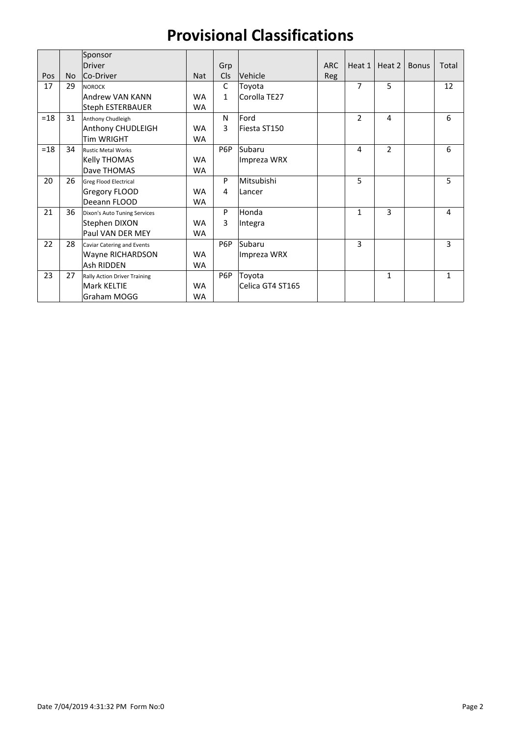|       |           | Sponsor                             |            |              |                  |            |                |                |              |       |
|-------|-----------|-------------------------------------|------------|--------------|------------------|------------|----------------|----------------|--------------|-------|
|       |           | Driver                              |            | Grp          |                  | <b>ARC</b> | Heat 1         | Heat 2         | <b>Bonus</b> | Total |
| Pos   | <b>No</b> | Co-Driver                           | <b>Nat</b> | <b>CIs</b>   | Vehicle          | Reg        |                |                |              |       |
| 17    | 29        | <b>NOROCK</b>                       |            | C            | Toyota           |            | $\overline{7}$ | 5              |              | 12    |
|       |           | <b>Andrew VAN KANN</b>              | <b>WA</b>  | $\mathbf{1}$ | Corolla TE27     |            |                |                |              |       |
|       |           | <b>Steph ESTERBAUER</b>             | <b>WA</b>  |              |                  |            |                |                |              |       |
| $=18$ | 31        | Anthony Chudleigh                   |            | N            | Ford             |            | $\mathcal{P}$  | 4              |              | 6     |
|       |           | Anthony CHUDLEIGH                   | <b>WA</b>  | 3            | Fiesta ST150     |            |                |                |              |       |
|       |           | <b>Tim WRIGHT</b>                   | <b>WA</b>  |              |                  |            |                |                |              |       |
| $=18$ | 34        | <b>Rustic Metal Works</b>           |            | P6P          | Subaru           |            | 4              | $\overline{2}$ |              | 6     |
|       |           | <b>Kelly THOMAS</b>                 | <b>WA</b>  |              | Impreza WRX      |            |                |                |              |       |
|       |           | Dave THOMAS                         | <b>WA</b>  |              |                  |            |                |                |              |       |
| 20    | 26        | <b>Greg Flood Electrical</b>        |            | P            | Mitsubishi       |            | 5              |                |              | 5     |
|       |           | Gregory FLOOD                       | <b>WA</b>  | 4            | Lancer           |            |                |                |              |       |
|       |           | Deeann FLOOD                        | <b>WA</b>  |              |                  |            |                |                |              |       |
| 21    | 36        | Dixon's Auto Tuning Services        |            | P            | Honda            |            | $\mathbf{1}$   | 3              |              | 4     |
|       |           | Stephen DIXON                       | <b>WA</b>  | 3            | Integra          |            |                |                |              |       |
|       |           | Paul VAN DER MEY                    | <b>WA</b>  |              |                  |            |                |                |              |       |
| 22    | 28        | Caviar Catering and Events          |            | P6P          | Subaru           |            | 3              |                |              | 3     |
|       |           | Wayne RICHARDSON                    | <b>WA</b>  |              | Impreza WRX      |            |                |                |              |       |
|       |           | <b>Ash RIDDEN</b>                   | <b>WA</b>  |              |                  |            |                |                |              |       |
| 23    | 27        | <b>Rally Action Driver Training</b> |            | P6P          | Toyota           |            |                | 1              |              | 1     |
|       |           | <b>Mark KELTIE</b>                  | <b>WA</b>  |              | Celica GT4 ST165 |            |                |                |              |       |
|       |           | Graham MOGG                         | <b>WA</b>  |              |                  |            |                |                |              |       |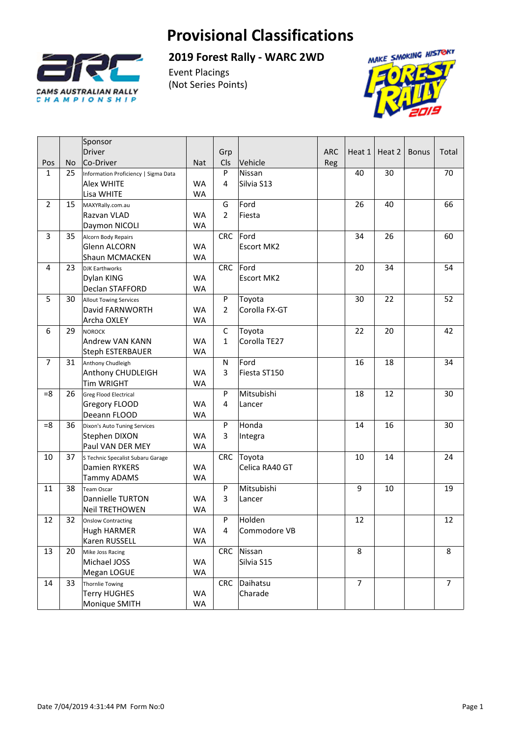

#### **2019 Forest Rally ‐ WARC 2WD**

Event Placings (Not Series Points)



|                |    | Sponsor                              |            |                |                   |            |                |        |              |                |
|----------------|----|--------------------------------------|------------|----------------|-------------------|------------|----------------|--------|--------------|----------------|
|                |    | Driver                               |            | Grp            |                   | <b>ARC</b> | Heat 1         | Heat 2 | <b>Bonus</b> | Total          |
| Pos            | No | Co-Driver                            | <b>Nat</b> | Cls            | Vehicle           | Reg        |                |        |              |                |
| $\mathbf{1}$   | 25 | Information Proficiency   Sigma Data |            | P              | Nissan            |            | 40             | 30     |              | 70             |
|                |    | <b>Alex WHITE</b>                    | <b>WA</b>  | 4              | Silvia S13        |            |                |        |              |                |
|                |    | Lisa WHITE                           | <b>WA</b>  |                |                   |            |                |        |              |                |
| $\overline{2}$ | 15 | MAXYRally.com.au                     |            | G              | Ford              |            | 26             | 40     |              | 66             |
|                |    | Razvan VLAD                          | <b>WA</b>  | $\overline{2}$ | Fiesta            |            |                |        |              |                |
|                |    | Daymon NICOLI                        | <b>WA</b>  |                |                   |            |                |        |              |                |
| 3              | 35 | Alcorn Body Repairs                  |            | <b>CRC</b>     | Ford              |            | 34             | 26     |              | 60             |
|                |    | Glenn ALCORN                         | <b>WA</b>  |                | <b>Escort MK2</b> |            |                |        |              |                |
|                |    | Shaun MCMACKEN                       | <b>WA</b>  |                |                   |            |                |        |              |                |
| $\overline{4}$ | 23 | <b>DJK Earthworks</b>                |            | <b>CRC</b>     | Ford              |            | 20             | 34     |              | 54             |
|                |    | Dylan KING                           | <b>WA</b>  |                | <b>Escort MK2</b> |            |                |        |              |                |
|                |    | Declan STAFFORD                      | <b>WA</b>  |                |                   |            |                |        |              |                |
| 5              | 30 | <b>Allout Towing Services</b>        |            | P              | Toyota            |            | 30             | 22     |              | 52             |
|                |    | David FARNWORTH                      | <b>WA</b>  | $\overline{2}$ | Corolla FX-GT     |            |                |        |              |                |
|                |    | Archa OXLEY                          | <b>WA</b>  |                |                   |            |                |        |              |                |
| 6              | 29 | <b>NOROCK</b>                        |            | С              | Toyota            |            | 22             | 20     |              | 42             |
|                |    | Andrew VAN KANN                      | <b>WA</b>  | $\mathbf{1}$   | Corolla TE27      |            |                |        |              |                |
|                |    | Steph ESTERBAUER                     | <b>WA</b>  |                |                   |            |                |        |              |                |
| $\overline{7}$ | 31 | Anthony Chudleigh                    |            | N              | Ford              |            | 16             | 18     |              | 34             |
|                |    | Anthony CHUDLEIGH                    | <b>WA</b>  | 3              | Fiesta ST150      |            |                |        |              |                |
|                |    | <b>Tim WRIGHT</b>                    | <b>WA</b>  |                |                   |            |                |        |              |                |
| $= 8$          | 26 | <b>Greg Flood Electrical</b>         |            | P              | Mitsubishi        |            | 18             | 12     |              | 30             |
|                |    | Gregory FLOOD                        | <b>WA</b>  | 4              | Lancer            |            |                |        |              |                |
|                |    | Deeann FLOOD                         | <b>WA</b>  |                |                   |            |                |        |              |                |
| $= 8$          | 36 | Dixon's Auto Tuning Services         |            | P              | Honda             |            | 14             | 16     |              | 30             |
|                |    | Stephen DIXON                        | <b>WA</b>  | 3              | Integra           |            |                |        |              |                |
|                |    | Paul VAN DER MEY                     | <b>WA</b>  |                |                   |            |                |        |              |                |
| 10             | 37 | S Technic Specalist Subaru Garage    |            | <b>CRC</b>     | Toyota            |            | 10             | 14     |              | 24             |
|                |    | Damien RYKERS                        | <b>WA</b>  |                | Celica RA40 GT    |            |                |        |              |                |
|                |    | <b>Tammy ADAMS</b>                   | <b>WA</b>  |                |                   |            |                |        |              |                |
| 11             | 38 | <b>Team Oscar</b>                    |            | P              | Mitsubishi        |            | 9              | 10     |              | 19             |
|                |    | Dannielle TURTON                     | <b>WA</b>  | 3              | Lancer            |            |                |        |              |                |
|                |    | <b>Neil TRETHOWEN</b>                | <b>WA</b>  |                |                   |            |                |        |              |                |
| 12             | 32 | <b>Onslow Contracting</b>            |            | P              | Holden            |            | 12             |        |              | 12             |
|                |    | Hugh HARMER                          | <b>WA</b>  | 4              | Commodore VB      |            |                |        |              |                |
|                |    | Karen RUSSELL                        | <b>WA</b>  |                |                   |            |                |        |              |                |
| 13             | 20 | Mike Joss Racing                     |            | <b>CRC</b>     | Nissan            |            | 8              |        |              | 8              |
|                |    | Michael JOSS                         | <b>WA</b>  |                | Silvia S15        |            |                |        |              |                |
|                |    | Megan LOGUE                          | <b>WA</b>  |                |                   |            |                |        |              |                |
| 14             | 33 | <b>Thornlie Towing</b>               |            | <b>CRC</b>     | Daihatsu          |            | $\overline{7}$ |        |              | $\overline{7}$ |
|                |    | <b>Terry HUGHES</b>                  | <b>WA</b>  |                | Charade           |            |                |        |              |                |
|                |    | Monique SMITH                        | WA         |                |                   |            |                |        |              |                |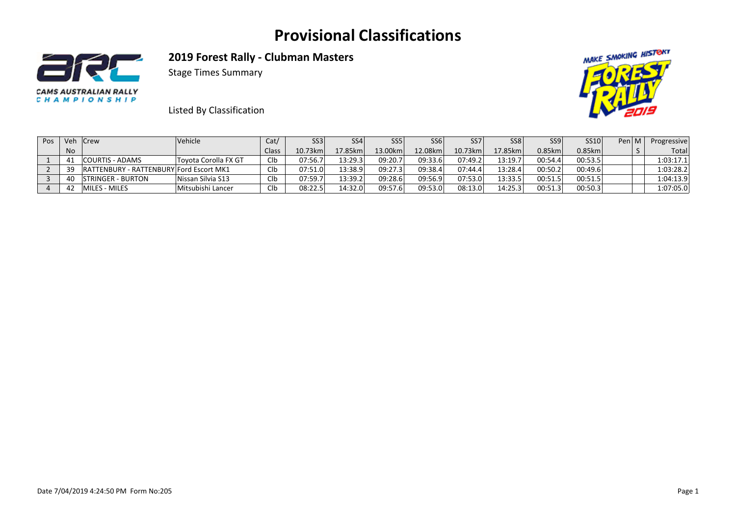

**2019 Forest Rally ‐ Clubman Masters** 

Stage Times Summary

Listed By Classification



| Pos | Ver       | <b>Crew</b>                             | Vehicle              | Cat/       | SS <sub>3</sub> | SS <sub>4</sub> | SS5     | <b>SS6</b> | SS <sub>7</sub> | SS <sub>8</sub> | SS9       | SS10      | Pen $ M$ | Progressive |
|-----|-----------|-----------------------------------------|----------------------|------------|-----------------|-----------------|---------|------------|-----------------|-----------------|-----------|-----------|----------|-------------|
|     | <b>No</b> |                                         |                      | Class      | 10.73km         | .7.85km         | 13.00km | 12.08kml   | 10.73km         | 17.85km         | $0.85$ km | $0.85$ km |          | Totall      |
|     |           | COURTIS - ADAMS                         | Tovota Corolla FX GT | Clb        | 07:56.7         | 13:29.3         | 09:20.7 | 09:33.6    | 07:49.2         | 13:19.7         | 00:54.4   | 00:53.5   |          | 1:03:17.1   |
|     | 39        | RATTENBURY - RATTENBURY Ford Escort MK1 |                      | <b>CIb</b> | 07:51.0         | 13:38.9         | 09:27.3 | 09:38.4    | 07:44.4         | 13:28.4         | 00:50.2   | 00:49.6   |          | 1:03:28.2   |
|     | 40        | <b>STRINGER - BURTON</b>                | Nissan Silvia S13    | Clb        | 07:59.7         | 13:39.2         | 09:28.6 | 09:56.9    | 07:53.0         | 13:33.5         | 00:51.5   | 00:51.5   |          | 1:04:13.9   |
|     | 42        | MILES - MILES                           | Mitsubishi Lancer    | Clb        | 08:22.5         | 14:32.0         | 09:57.6 | 09:53.0    | 08:13.0         | 14:25.3         | 00:51.3   | 00:50.3   |          | 1:07:05.0   |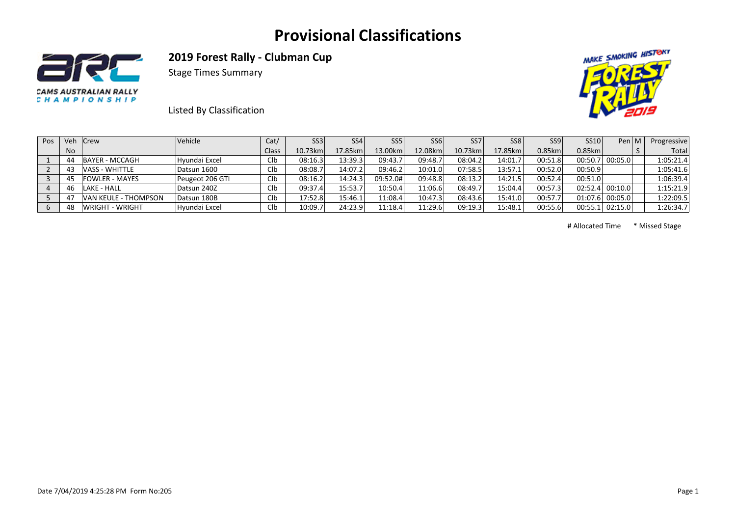

**2019 Forest Rally ‐ Clubman Cup** 

Stage Times Summary





| Pos | Veh Crew |                        | <b>Vehicle</b>  | Cat/  | SS <sub>3</sub> | SS <sub>4</sub> | SS <sub>5</sub> | SS <sub>6</sub> | SS <sub>7</sub> | SS8 <sup>I</sup> | SS <sub>9</sub> | SS10      | Pen   M           | Progressive |
|-----|----------|------------------------|-----------------|-------|-----------------|-----------------|-----------------|-----------------|-----------------|------------------|-----------------|-----------|-------------------|-------------|
|     | No.      |                        |                 | Class | 10.73km         | 17.85kml        | 13.00km         | 12.08km         | $10.73$ km      | 17.85km          | 0.85km          | $0.85$ km |                   | Total       |
|     | 44       | BAYER - MCCAGH         | Hyundai Excel   | Clb   | 08:16.3         | 13:39.3         | 09:43.7         | 09:48.7         | 08:04.2         | 14:01.7          | 00:51.8         |           | $00:50.7$ 00:05.0 | 1:05:21.4   |
|     | 43       | VASS - WHITTLE         | Datsun 1600     | Clb   | 08:08.7         | 14:07.2         | 09:46.2         | 10:01.0         | 07:58.5         | 13:57.1          | 00:52.0         | 00:50.9   |                   | 1:05:41.6   |
|     | 45       | <b>FOWLER - MAYES</b>  | Peugeot 206 GTI | Clb   | 08:16.2         | 14:24.3         | 09:52.0#        | 09:48.8         | 08:13.2         | 14:21.5          | 00:52.4         | 00:51.0   |                   | 1:06:39.4   |
|     | 46       | LAKE - HALL            | Datsun 240Z     | Clb   | 09:37.4         | 15:53.7         | 10:50.4         | 11:06.6         | 08:49.7         | 15:04.4          | 00:57.3         |           | $02:52.4$ 00:10.0 | 1:15:21.9   |
|     |          | VAN KEULE - THOMPSON   | Datsun 180B     | Clb   | 17:52.8         | 15:46.1         | 11:08.4         | 10:47.3         | 08:43.6         | 15:41.0          | 00:57.7         |           | $01:07.6$ 00:05.0 | 1:22:09.5   |
|     | 48       | <b>WRIGHT - WRIGHT</b> | Hyundai Excel   | Clb   | 10:09.7         | 24:23.9         | 11:18.4         | 11:29.6         | 09:19.3         | 15:48.1          | 00:55.6         |           | $00:55.1$ 02:15.0 | 1:26:34.7   |

# Allocated Time \* Missed Stage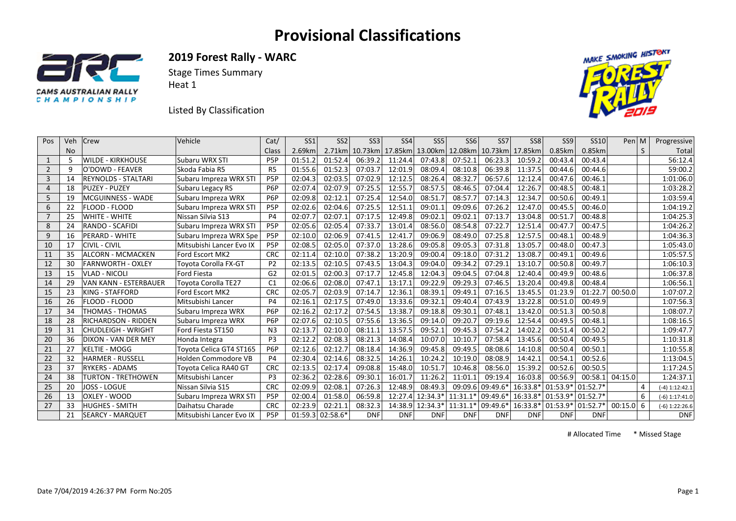

**2019 Forest Rally ‐ WARC** 

Stage Times Summary

Heat 1

Listed By Classification



| Pos            | Veh       | Crew                       | Vehicle                    | Cat/             | SS <sub>1</sub>  | SS <sub>2</sub> | SS <sub>3</sub> | SS <sub>4</sub> | SS <sub>5</sub>  | SS6             | SS <sub>7</sub> | SS <sub>8</sub> | SS <sub>9</sub> | <b>SS10</b> | Pen  M  |    | Progressive      |
|----------------|-----------|----------------------------|----------------------------|------------------|------------------|-----------------|-----------------|-----------------|------------------|-----------------|-----------------|-----------------|-----------------|-------------|---------|----|------------------|
|                | <b>No</b> |                            |                            | Class            | 2.69km           |                 | 2.71km 10.73km  | 17.85km         |                  | 13.00km 12.08km | 10.73km         | 17.85km         | 0.85km          | 0.85km      |         | S. | Total            |
| $\mathbf{1}$   | 5         | <b>WILDE - KIRKHOUSE</b>   | Subaru WRX STI             | P <sub>5</sub> P | 01:51.2          | 01:52.4         | 06:39.2         | 11:24.4         | 07:43.8          | 07:52.1         | 06:23.3         | 10:59.2         | 00:43.4         | 00:43.4     |         |    | 56:12.4          |
| $\overline{2}$ | q         | O'DOWD - FEAVER            | Skoda Fabia R5             | R <sub>5</sub>   | 01:55.6          | 01:52.3         | 07:03.7         | 12:01.9         | 08:09.4          | 08:10.8         | 06:39.8         | 11:37.5         | 00:44.6         | 00:44.6     |         |    | 59:00.2          |
| 3              | 14        | <b>REYNOLDS - STALTARI</b> | Subaru Impreza WRX STI     | P <sub>5</sub> P | 02:04.3          | 02:03.5         | 07:02.9         | 12:12.5         | 08:26.4          | 08:32.7         | 06:57.6         | 12:12.4         | 00:47.6         | 00:46.1     |         |    | 1:01:06.0        |
| $\overline{4}$ | 18        | <b>PUZEY - PUZEY</b>       | Subaru Legacy RS           | P <sub>6</sub> P | 02:07.4          | 02:07.9         | 07:25.5         | 12:55.7         | 08:57.5          | 08:46.5         | 07:04.4         | 12:26.7         | 00:48.5         | 00:48.1     |         |    | 1:03:28.2        |
| 5              | 19        | <b>MCGUINNESS - WADE</b>   | Subaru Impreza WRX         | P <sub>6</sub> P | 02:09.8          | 02:12.1         | 07:25.4         | 12:54.0         | 08:51.7          | 08:57.7         | 07:14.3         | 12:34.7         | 00:50.6         | 00:49.1     |         |    | 1:03:59.4        |
| 6              | 22        | FLOOD - FLOOD              | Subaru Impreza WRX STI     | P <sub>5</sub> P | 02:02.6          | 02:04.6         | 07:25.5         | 12:51.1         | 09:01.1          | 09:09.6         | 07:26.2         | 12:47.0         | 00:45.5         | 00:46.0     |         |    | 1:04:19.2        |
| $\overline{7}$ | 25        | <b>WHITE - WHITE</b>       | Nissan Silvia S13          | P <sub>4</sub>   | 02:07.           | 02:07.1         | 07:17.5         | 12:49.8         | 09:02.1          | 09:02.1         | 07:13.7         | 13:04.8         | 00:51.7         | 00:48.8     |         |    | 1:04:25.3        |
| 8              | 24        | RANDO - SCAFIDI            | Subaru Impreza WRX STI     | P <sub>5</sub> P | 02:05.6          | 02:05.4         | 07:33.7         | 13:01.4         | 08:56.0          | 08:54.8         | 07:22.7         | 12:51.4         | 00:47.7         | 00:47.5     |         |    | 1:04:26.2        |
| 9              | 16        | PERARD - WHITE             | Subaru Impreza WRX Spe     | P <sub>5</sub> P | 02:10.0          | 02:06.9         | 07:41.5         | 12:41.7         | 09:06.9          | 08:49.0         | 07:25.8         | 12:57.5         | 00:48.1         | 00:48.9     |         |    | 1:04:36.3        |
| 10             | 17        | <b>CIVIL - CIVIL</b>       | Mitsubishi Lancer Evo IX   | P <sub>5</sub> P | 02:08.5          | 02:05.0         | 07:37.0         | 13:28.6         | 09:05.8          | 09:05.3         | 07:31.8         | 13:05.7         | 00:48.0         | 00:47.3     |         |    | 1:05:43.0        |
| 11             | 35        | <b>ALCORN - MCMACKEN</b>   | Ford Escort MK2            | <b>CRC</b>       | 02:11.4          | 02:10.0         | 07:38.2         | 13:20.9         | 09:00.4          | 09:18.0         | 07:31.2         | 13:08.7         | 00:49.1         | 00:49.6     |         |    | 1:05:57.5        |
| 12             | 30        | <b>FARNWORTH - OXLEY</b>   | Toyota Corolla FX-GT       | P <sub>2</sub>   | 02:13.5          | 02:10.5         | 07:43.5         | 13:04.3         | 09:04.0          | 09:34.2         | 07:29.1         | 13:10.7         | 00:50.8         | 00:49.7     |         |    | 1:06:10.3        |
| 13             | 15        | <b>VLAD - NICOLI</b>       | <b>Ford Fiesta</b>         | G <sub>2</sub>   | 02:01.5          | 02:00.3         | 07:17.7         | 12:45.8         | 12:04.3          | 09:04.5         | 07:04.8         | 12:40.4         | 00:49.9         | 00:48.6     |         |    | 1:06:37.8        |
| 14             | 29        | VAN KANN - ESTERBAUER      | <b>Toyota Corolla TE27</b> | C <sub>1</sub>   | 02:06.6          | 02:08.0         | 07:47.1         | 13:17.1         | 09:22.9          | 09:29.3         | 07:46.5         | 13:20.4         | 00:49.8         | 00:48.4     |         |    | 1:06:56.1        |
| 15             | 23        | <b>KING - STAFFORD</b>     | Ford Escort MK2            | <b>CRC</b>       | 02:05.7          | 02:03.9         | 07:14.7         | 12:36.1         | 08:39.1          | 09:49.1         | 07:16.5         | 13:45.5         | 01:23.9         | 01:22.7     | 00:50.0 |    | 1:07:07.2        |
| 16             | 26        | FLOOD - FLOOD              | Mitsubishi Lancer          | <b>P4</b>        | 02:16.1          | 02:17.5         | 07:49.0         | 13:33.6         | 09:32.1          | 09:40.4         | 07:43.9         | 13:22.8         | 00:51.0         | 00:49.9     |         |    | 1:07:56.3        |
| 17             | 34        | THOMAS - THOMAS            | Subaru Impreza WRX         | P <sub>6</sub> P | 02:16.2          | 02:17.2         | 07:54.5         | 13:38.7         | 09:18.8          | 09:30.1         | 07:48.1         | 13:42.0         | 00:51.3         | 00:50.8     |         |    | 1:08:07.7        |
| 18             | 28        | <b>RICHARDSON - RIDDEN</b> | Subaru Impreza WRX         | P <sub>6</sub> P | 02:07.6          | 02:10.5         | 07:55.6         | 13:36.5         | 09:14.0          | 09:20.7         | 09:19.6         | 12:54.4         | 00:49.5         | 00:48.1     |         |    | 1:08:16.5        |
| 19             | 31        | <b>CHUDLEIGH - WRIGHT</b>  | Ford Fiesta ST150          | N <sub>3</sub>   | 02:13.7          | 02:10.0         | 08:11.1         | 13:57.5         | 09:52.1          | 09:45.3         | 07:54.2         | 14:02.2         | 00:51.4         | 00:50.2     |         |    | 1:09:47.7        |
| 20             | 36        | <b>DIXON - VAN DER MEY</b> | Honda Integra              | P <sub>3</sub>   | 02:12.2          | 02:08.3         | 08:21.3         | 14:08.4         | 10:07.0          | 10:10.7         | 07:58.4         | 13:45.6         | 00:50.4         | 00:49.5     |         |    | 1:10:31.8        |
| 21             | 27        | <b>KELTIE - MOGG</b>       | Toyota Celica GT4 ST165    | P <sub>6</sub> P | 02:12.6          | 02:12.7         | 08:18.4         | 14:36.9         | 09:45.8          | 09:49.5         | 08:08.6         | 14:10.8         | 00:50.4         | 00:50.1     |         |    | 1:10:55.8        |
| 22             | 32        | <b>HARMER - RUSSELL</b>    | Holden Commodore VB        | P <sub>4</sub>   | 02:30.4          | 02:14.6         | 08:32.5         | 14:26.1         | 10:24.2          | 10:19.0         | 08:08.9         | 14:42.1         | 00:54.1         | 00:52.6     |         |    | 1:13:04.5        |
| 23             | 37        | <b>RYKERS - ADAMS</b>      | Toyota Celica RA40 GT      | <b>CRC</b>       | 02:13.5          | 02:17.4         | 09:08.8         | 15:48.0         | 10:51.7          | 10:46.8         | 08:56.0         | 15:39.2         | 00:52.6         | 00:50.5     |         |    | 1:17:24.5        |
| 24             | 38        | <b>TURTON - TRETHOWEN</b>  | Mitsubishi Lancer          | P <sub>3</sub>   | 02:36.2          | 02:28.6         | 09:30.1         | 16:01.7         | 11:26.2          | 11:01.1         | 09:19.4         | 16:03.8         | 00:56.9         | 00:58.1     | 04:15.0 |    | 1:24:37.1        |
| 25             | 20        | <b>JOSS - LOGUE</b>        | Nissan Silvia S15          | <b>CRC</b>       | 02:09.9          | 02:08.1         | 07:26.3         | 12:48.9         | 08:49.3          | 09:09.6         | 09:49.6*        | 16:33.8*        | $01:53.9*$      | $01:52.7*$  |         | 4  | $(-4)$ 1:12:42.1 |
| 26             | 13        | OXLEY - WOOD               | Subaru Impreza WRX STI     | P <sub>5</sub> P | 02:00.4          | 01:58.0         | 06:59.8         | 12:27.4         | 12:34.3*         | $11:31.1*$      | 09:49.6*        | 16:33.8*        | $01:53.9*$      | $01:52.7*$  |         | 6  | $(-6)$ 1:17:41.0 |
| 27             | 33        | <b>HUGHES - SMITH</b>      | Daihatsu Charade           | <b>CRC</b>       | 02:23.9          | 02:21.1         | 08:32.3         |                 | 14:38.9 12:34.3* | $11:31.1*$      | 09:49.6*        | 16:33.8*        | $ 01:53.9*$     | $01:52.7*$  | 00:15.0 | -6 | $(-6)$ 1:22:26.6 |
|                | 21        | <b>SEARCY - MARQUET</b>    | Mitsubishi Lancer Evo IX   | P <sub>5</sub> P | 01:59.3 02:58.6* |                 | <b>DNF</b>      | <b>DNF</b>      | <b>DNF</b>       | <b>DNF</b>      | <b>DNF</b>      | <b>DNF</b>      | <b>DNF</b>      | <b>DNF</b>  |         |    | <b>DNF</b>       |

# Allocated Time \* Missed Stage